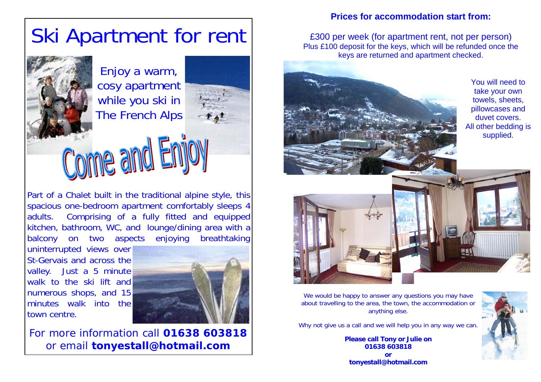# Ski Apartment for rent

Enjoy a warm, cosy apartment while you ski in The French Alps



# Come and Er

Part of a Chalet built in the traditional alpine style, this spacious one-bedroom apartment comfortably sleeps 4 adults. Comprising of a fully fitted and equipped kitchen, bathroom, WC, and lounge/dining area with a balcony on two aspects enjoying breathtaking

uninterrupted views over St-Gervais and across the valley. Just a 5 minute walk to the ski lift and numerous shops, and 15 minutes walk into the town centre.



For more information call **01638 603818** or email **tonyestall@hotmail.com**

## **Prices for accommodation start from:**

£300 per week (for apartment rent, not per person) Plus £100 deposit for the keys, which will be refunded once the keys are returned and apartment checked.



You will need to take your own towels, sheets, pillowcases and duvet covers. All other bedding is supplied.





We would be happy to answer any questions you may have about travelling to the area, the town, the accommodation or anything else.

Why not give us a call and we will help you in any way we can.

**Please call Tony or Julie on 01638 603818 or tonyestall@hotmail.com**